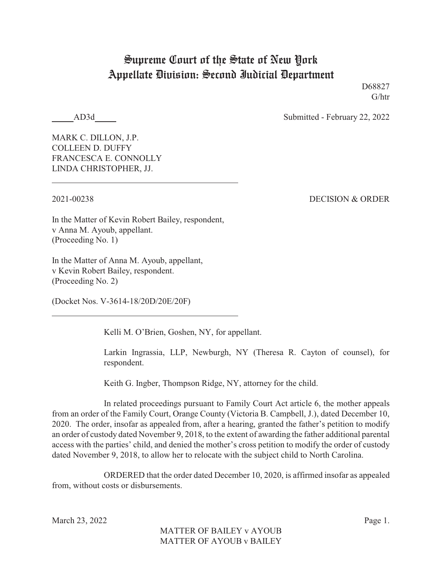## Supreme Court of the State of New York Appellate Division: Second Judicial Department

D68827 G/htr

AD3d Submitted - February 22, 2022

MARK C. DILLON, J.P. COLLEEN D. DUFFY FRANCESCA E. CONNOLLY LINDA CHRISTOPHER, JJ.

2021-00238 DECISION & ORDER

In the Matter of Kevin Robert Bailey, respondent, v Anna M. Ayoub, appellant. (Proceeding No. 1)

In the Matter of Anna M. Ayoub, appellant, v Kevin Robert Bailey, respondent. (Proceeding No. 2)

(Docket Nos. V-3614-18/20D/20E/20F)

Kelli M. O'Brien, Goshen, NY, for appellant.

Larkin Ingrassia, LLP, Newburgh, NY (Theresa R. Cayton of counsel), for respondent.

Keith G. Ingber, Thompson Ridge, NY, attorney for the child.

In related proceedings pursuant to Family Court Act article 6, the mother appeals from an order of the Family Court, Orange County (Victoria B. Campbell, J.), dated December 10, 2020. The order, insofar as appealed from, after a hearing, granted the father's petition to modify an order of custody dated November 9, 2018, to the extent of awarding the father additional parental access with the parties' child, and denied the mother's cross petition to modify the order of custody dated November 9, 2018, to allow her to relocate with the subject child to North Carolina.

ORDERED that the order dated December 10, 2020, is affirmed insofar as appealed from, without costs or disbursements.

March 23, 2022 Page 1.

MATTER OF BAILEY v AYOUB MATTER OF AYOUB v BAILEY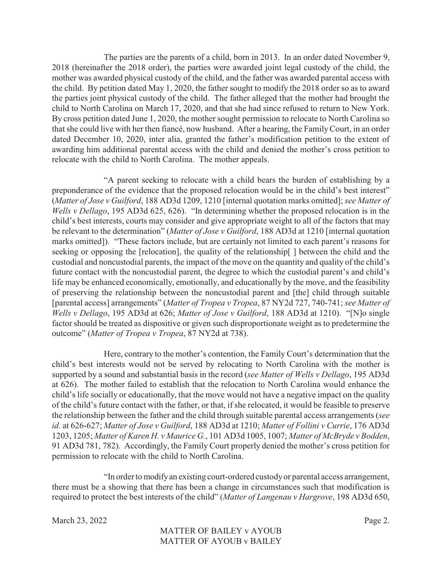The parties are the parents of a child, born in 2013. In an order dated November 9, 2018 (hereinafter the 2018 order), the parties were awarded joint legal custody of the child, the mother was awarded physical custody of the child, and the father was awarded parental access with the child. By petition dated May 1, 2020, the father sought to modify the 2018 order so as to award the parties joint physical custody of the child. The father alleged that the mother had brought the child to North Carolina on March 17, 2020, and that she had since refused to return to New York. By cross petition dated June 1, 2020, the mother sought permission to relocate to North Carolina so that she could live with her then fiancé, now husband. After a hearing, the FamilyCourt, in an order dated December 10, 2020, inter alia, granted the father's modification petition to the extent of awarding him additional parental access with the child and denied the mother's cross petition to relocate with the child to North Carolina. The mother appeals.

"A parent seeking to relocate with a child bears the burden of establishing by a preponderance of the evidence that the proposed relocation would be in the child's best interest" (*Matter of Jose v Guilford*, 188 AD3d 1209, 1210 [internal quotation marks omitted]; *see Matter of Wells v Dellago*, 195 AD3d 625, 626). "In determining whether the proposed relocation is in the child's best interests, courts may consider and give appropriate weight to all of the factors that may be relevant to the determination" (*Matter of Jose v Guilford*, 188 AD3d at 1210 [internal quotation marks omitted]). "These factors include, but are certainly not limited to each parent's reasons for seeking or opposing the [relocation], the quality of the relationship[ ] between the child and the custodial and noncustodial parents, the impact of the move on the quantity and quality of the child's future contact with the noncustodial parent, the degree to which the custodial parent's and child's life may be enhanced economically, emotionally, and educationally by the move, and the feasibility of preserving the relationship between the noncustodial parent and [the] child through suitable [parental access] arrangements" (*Matter of Tropea v Tropea*, 87 NY2d 727, 740-741; *see Matter of Wells v Dellago*, 195 AD3d at 626; *Matter of Jose v Guilford*, 188 AD3d at 1210). "[N]o single factor should be treated as dispositive or given such disproportionate weight as to predetermine the outcome" (*Matter of Tropea v Tropea*, 87 NY2d at 738).

Here, contrary to the mother's contention, the Family Court's determination that the child's best interests would not be served by relocating to North Carolina with the mother is supported by a sound and substantial basis in the record (*see Matter of Wells v Dellago*, 195 AD3d at 626). The mother failed to establish that the relocation to North Carolina would enhance the child's life socially or educationally, that the move would not have a negative impact on the quality of the child's future contact with the father, or that, if she relocated, it would be feasible to preserve the relationship between the father and the child through suitable parental access arrangements (*see id.* at 626-627; *Matter of Jose v Guilford*, 188 AD3d at 1210; *Matter of Follini v Currie*, 176 AD3d 1203, 1205; *Matter of Karen H. v Maurice G.*, 101 AD3d 1005, 1007; *Matter of McBryde v Bodden*, 91 AD3d 781, 782). Accordingly, the Family Court properly denied the mother's cross petition for permission to relocate with the child to North Carolina.

"In order to modifyan existing court-ordered custodyor parental access arrangement, there must be a showing that there has been a change in circumstances such that modification is required to protect the best interests of the child" (*Matter of Langenau v Hargrove*, 198 AD3d 650,

March 23, 2022 Page 2.

MATTER OF BAILEY v AYOUB MATTER OF AYOUB v BAILEY